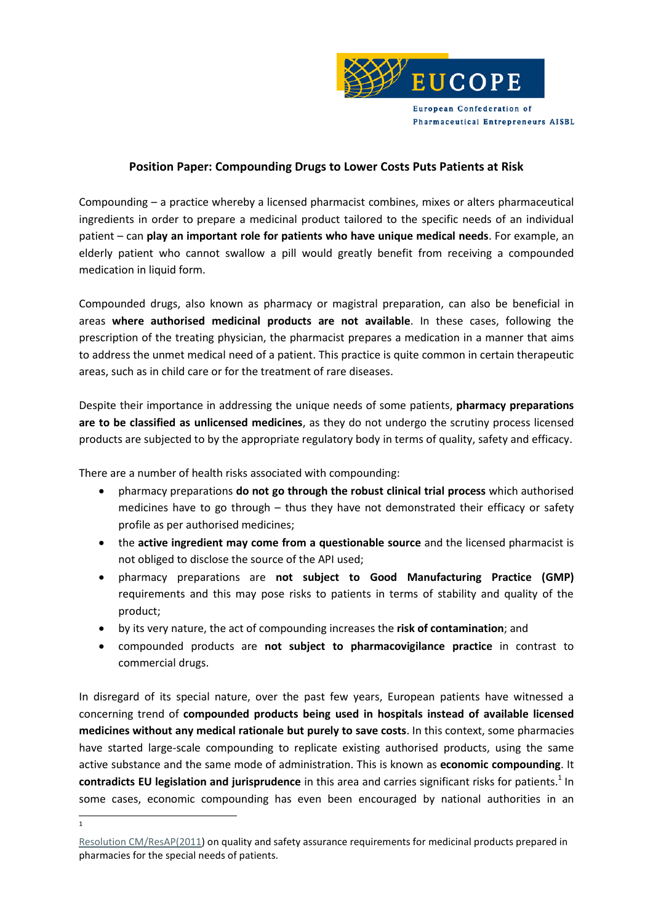

# **Position Paper: Compounding Drugs to Lower Costs Puts Patients at Risk**

Compounding – a practice whereby a licensed pharmacist combines, mixes or alters pharmaceutical ingredients in order to prepare a medicinal product tailored to the specific needs of an individual patient – can **play an important role for patients who have unique medical needs**. For example, an elderly patient who cannot swallow a pill would greatly benefit from receiving a compounded medication in liquid form.

Compounded drugs, also known as pharmacy or magistral preparation, can also be beneficial in areas **where authorised medicinal products are not available**. In these cases, following the prescription of the treating physician, the pharmacist prepares a medication in a manner that aims to address the unmet medical need of a patient. This practice is quite common in certain therapeutic areas, such as in child care or for the treatment of rare diseases.

Despite their importance in addressing the unique needs of some patients, **pharmacy preparations are to be classified as unlicensed medicines**, as they do not undergo the scrutiny process licensed products are subjected to by the appropriate regulatory body in terms of quality, safety and efficacy.

There are a number of health risks associated with compounding:

- pharmacy preparations **do not go through the robust clinical trial process** which authorised medicines have to go through – thus they have not demonstrated their efficacy or safety profile as per authorised medicines;
- the **active ingredient may come from a questionable source** and the licensed pharmacist is not obliged to disclose the source of the API used;
- pharmacy preparations are **not subject to Good Manufacturing Practice (GMP)** requirements and this may pose risks to patients in terms of stability and quality of the product;
- by its very nature, the act of compounding increases the **risk of contamination**; and
- compounded products are **not subject to pharmacovigilance practice** in contrast to commercial drugs.

In disregard of its special nature, over the past few years, European patients have witnessed a concerning trend of **compounded products being used in hospitals instead of available licensed medicines without any medical rationale but purely to save costs**. In this context, some pharmacies have started large-scale compounding to replicate existing authorised products, using the same active substance and the same mode of administration. This is known as **economic compounding**. It **contradicts EU legislation and jurisprudence** in this area and carries significant risks for patients. 1 In some cases, economic compounding has even been encouraged by national authorities in an

 $\frac{1}{1}$ 

[Resolution CM/ResAP\(2011\)](https://search.coe.int/cm/Pages/result_details.aspx?ObjectID=09000016805cd8ce) on quality and safety assurance requirements for medicinal products prepared in pharmacies for the special needs of patients.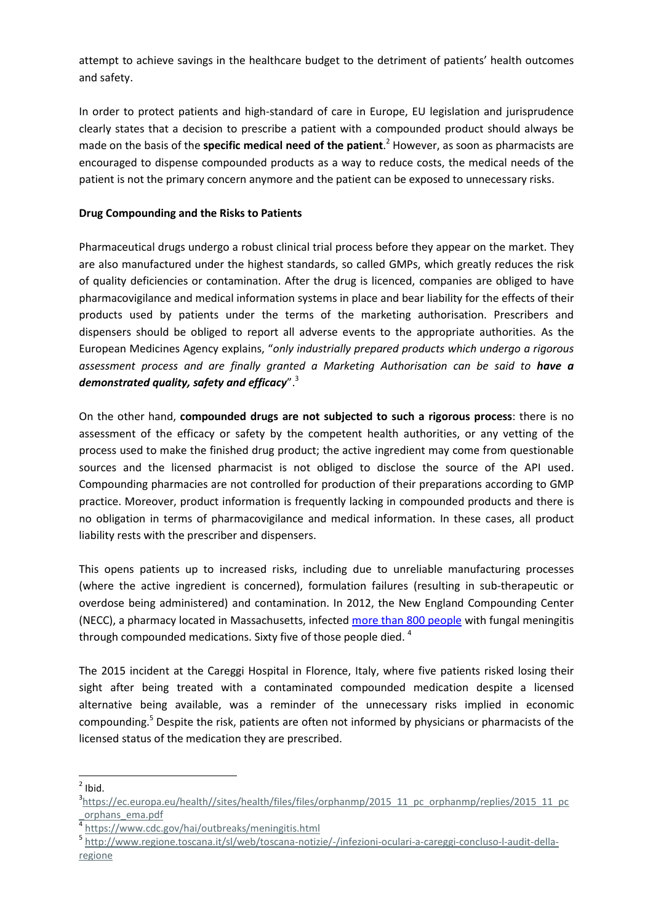attempt to achieve savings in the healthcare budget to the detriment of patients' health outcomes and safety.

In order to protect patients and high-standard of care in Europe, EU legislation and jurisprudence clearly states that a decision to prescribe a patient with a compounded product should always be made on the basis of the **specific medical need of the patient**. <sup>2</sup> However, as soon as pharmacists are encouraged to dispense compounded products as a way to reduce costs, the medical needs of the patient is not the primary concern anymore and the patient can be exposed to unnecessary risks.

## **Drug Compounding and the Risks to Patients**

Pharmaceutical drugs undergo a robust clinical trial process before they appear on the market. They are also manufactured under the highest standards, so called GMPs, which greatly reduces the risk of quality deficiencies or contamination. After the drug is licenced, companies are obliged to have pharmacovigilance and medical information systems in place and bear liability for the effects of their products used by patients under the terms of the marketing authorisation. Prescribers and dispensers should be obliged to report all adverse events to the appropriate authorities. As the European Medicines Agency explains, "*only industrially prepared products which undergo a rigorous*  assessment process and are finally granted a Marketing Authorisation can be said to have a *demonstrated quality, safety and efficacy*".<sup>3</sup>

On the other hand, **compounded drugs are not subjected to such a rigorous process**: there is no assessment of the efficacy or safety by the competent health authorities, or any vetting of the process used to make the finished drug product; the active ingredient may come from questionable sources and the licensed pharmacist is not obliged to disclose the source of the API used. Compounding pharmacies are not controlled for production of their preparations according to GMP practice. Moreover, product information is frequently lacking in compounded products and there is no obligation in terms of pharmacovigilance and medical information. In these cases, all product liability rests with the prescriber and dispensers.

This opens patients up to increased risks, including due to unreliable manufacturing processes (where the active ingredient is concerned), formulation failures (resulting in sub-therapeutic or overdose being administered) and contamination. In 2012, the New England Compounding Center (NECC), a pharmacy located in Massachusetts, infected [more than 800 people](http://www.newsweek.com/2015/04/24/inside-one-most-murderous-corporate-crimes-us-history-322665.html) with fungal meningitis through compounded medications. Sixty five of those people died.<sup>4</sup>

The 2015 incident at the Careggi Hospital in Florence, Italy, where five patients risked losing their sight after being treated with a contaminated compounded medication despite a licensed alternative being available, was a reminder of the unnecessary risks implied in economic compounding. <sup>5</sup> Despite the risk, patients are often not informed by physicians or pharmacists of the licensed status of the medication they are prescribed.

<sup>-</sup> $<sup>2</sup>$  Ibid.</sup>

<sup>&</sup>lt;sup>3</sup>[https://ec.europa.eu/health//sites/health/files/files/orphanmp/2015\\_11\\_pc\\_orphanmp/replies/2015\\_11\\_pc](https://ec.europa.eu/health/sites/health/files/files/orphanmp/2015_11_pc_orphanmp/replies/2015_11_pc_orphans_ema.pdf) [\\_orphans\\_ema.pdf](https://ec.europa.eu/health/sites/health/files/files/orphanmp/2015_11_pc_orphanmp/replies/2015_11_pc_orphans_ema.pdf)

<sup>4</sup> <https://www.cdc.gov/hai/outbreaks/meningitis.html>

<sup>5</sup> [http://www.regione.toscana.it/sl/web/toscana-notizie/-/infezioni-oculari-a-careggi-concluso-l-audit-della](http://www.regione.toscana.it/sl/web/toscana-notizie/-/infezioni-oculari-a-careggi-concluso-l-audit-della-regione)[regione](http://www.regione.toscana.it/sl/web/toscana-notizie/-/infezioni-oculari-a-careggi-concluso-l-audit-della-regione)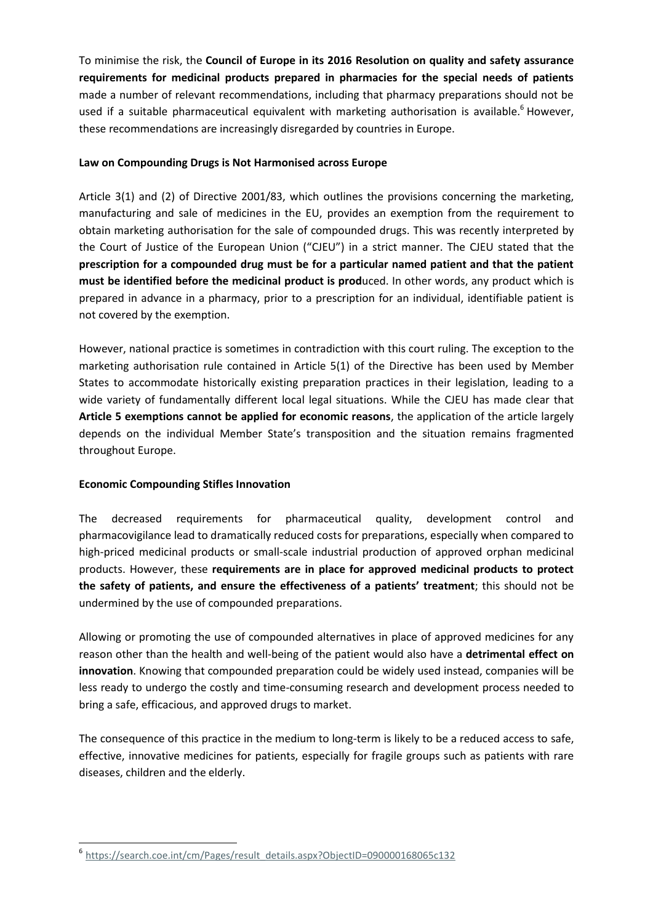To minimise the risk, the **Council of Europe in its 2016 Resolution on quality and safety assurance requirements for medicinal products prepared in pharmacies for the special needs of patients** made a number of relevant recommendations, including that pharmacy preparations should not be used if a suitable pharmaceutical equivalent with marketing authorisation is available.<sup>6</sup> However, these recommendations are increasingly disregarded by countries in Europe.

### **Law on Compounding Drugs is Not Harmonised across Europe**

Article 3(1) and (2) of Directive 2001/83, which outlines the provisions concerning the marketing, manufacturing and sale of medicines in the EU, provides an exemption from the requirement to obtain marketing authorisation for the sale of compounded drugs. This was recently interpreted by the Court of Justice of the European Union ("CJEU") in a strict manner. The CJEU stated that the **prescription for a compounded drug must be for a particular named patient and that the patient**  must be identified before the medicinal product is produced. In other words, any product which is prepared in advance in a pharmacy, prior to a prescription for an individual, identifiable patient is not covered by the exemption.

However, national practice is sometimes in contradiction with this court ruling. The exception to the marketing authorisation rule contained in Article 5(1) of the Directive has been used by Member States to accommodate historically existing preparation practices in their legislation, leading to a wide variety of fundamentally different local legal situations. While the CJEU has made clear that **Article 5 exemptions cannot be applied for economic reasons**, the application of the article largely depends on the individual Member State's transposition and the situation remains fragmented throughout Europe.

### **Economic Compounding Stifles Innovation**

 $\overline{a}$ 

The decreased requirements for pharmaceutical quality, development control and pharmacovigilance lead to dramatically reduced costs for preparations, especially when compared to high-priced medicinal products or small-scale industrial production of approved orphan medicinal products. However, these **requirements are in place for approved medicinal products to protect the safety of patients, and ensure the effectiveness of a patients' treatment**; this should not be undermined by the use of compounded preparations.

Allowing or promoting the use of compounded alternatives in place of approved medicines for any reason other than the health and well-being of the patient would also have a **detrimental effect on innovation**. Knowing that compounded preparation could be widely used instead, companies will be less ready to undergo the costly and time-consuming research and development process needed to bring a safe, efficacious, and approved drugs to market.

The consequence of this practice in the medium to long-term is likely to be a reduced access to safe, effective, innovative medicines for patients, especially for fragile groups such as patients with rare diseases, children and the elderly.

<sup>6</sup> [https://search.coe.int/cm/Pages/result\\_details.aspx?ObjectID=090000168065c132](https://search.coe.int/cm/Pages/result_details.aspx?ObjectID=090000168065c132)